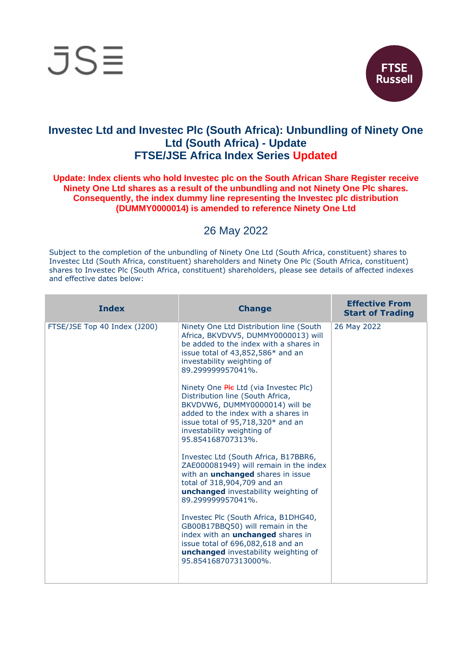



## **Investec Ltd and Investec Plc (South Africa): Unbundling of Ninety One Ltd (South Africa) - Update FTSE/JSE Africa Index Series Updated**

## **Update: Index clients who hold Investec plc on the South African Share Register receive Ninety One Ltd shares as a result of the unbundling and not Ninety One Plc shares. Consequently, the index dummy line representing the Investec plc distribution (DUMMY0000014) is amended to reference Ninety One Ltd**

## 26 May 2022

Subject to the completion of the unbundling of Ninety One Ltd (South Africa, constituent) shares to Investec Ltd (South Africa, constituent) shareholders and Ninety One Plc (South Africa, constituent) shares to Investec Plc (South Africa, constituent) shareholders, please see details of affected indexes and effective dates below:

| <b>Index</b>                 | <b>Change</b>                                                                                                                                                                                                                              | <b>Effective From</b><br><b>Start of Trading</b> |
|------------------------------|--------------------------------------------------------------------------------------------------------------------------------------------------------------------------------------------------------------------------------------------|--------------------------------------------------|
| FTSE/JSE Top 40 Index (J200) | Ninety One Ltd Distribution line (South<br>Africa, BKVDVV5, DUMMY0000013) will<br>be added to the index with a shares in<br>issue total of $43,852,586*$ and an<br>investability weighting of<br>89.299999957041%.                         | 26 May 2022                                      |
|                              | Ninety One Ple Ltd (via Investec Plc)<br>Distribution line (South Africa,<br>BKVDVW6, DUMMY0000014) will be<br>added to the index with a shares in<br>issue total of 95,718,320* and an<br>investability weighting of<br>95.854168707313%. |                                                  |
|                              | Investec Ltd (South Africa, B17BBR6,<br>ZAE000081949) will remain in the index<br>with an <i>unchanged</i> shares in issue<br>total of 318,904,709 and an<br><b>unchanged</b> investability weighting of<br>89.299999957041%.              |                                                  |
|                              | Investec Plc (South Africa, B1DHG40,<br>GB00B17BBQ50) will remain in the<br>index with an <i>unchanged</i> shares in<br>issue total of 696,082,618 and an<br><b>unchanged</b> investability weighting of<br>95.854168707313000%            |                                                  |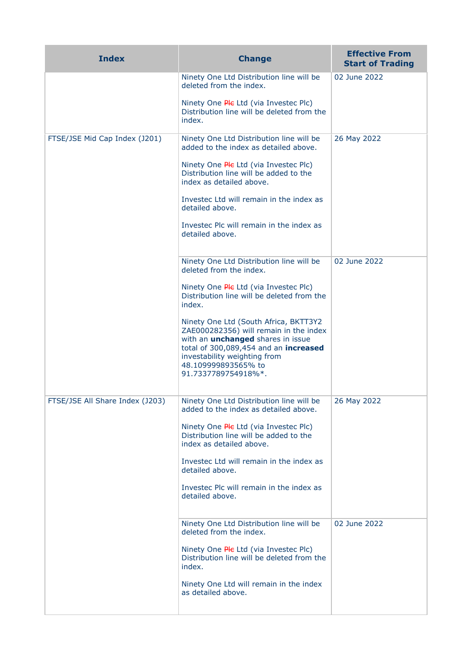| <b>Index</b>                    | <b>Change</b>                                                                                                                                                                                                                                      | <b>Effective From</b><br><b>Start of Trading</b> |
|---------------------------------|----------------------------------------------------------------------------------------------------------------------------------------------------------------------------------------------------------------------------------------------------|--------------------------------------------------|
|                                 | Ninety One Ltd Distribution line will be<br>deleted from the index.                                                                                                                                                                                | 02 June 2022                                     |
|                                 | Ninety One Ple Ltd (via Investec Plc)<br>Distribution line will be deleted from the<br>index.                                                                                                                                                      |                                                  |
| FTSE/JSE Mid Cap Index (J201)   | Ninety One Ltd Distribution line will be<br>added to the index as detailed above.                                                                                                                                                                  | 26 May 2022                                      |
|                                 | Ninety One Ple Ltd (via Investec Plc)<br>Distribution line will be added to the<br>index as detailed above.                                                                                                                                        |                                                  |
|                                 | Investec Ltd will remain in the index as<br>detailed above.                                                                                                                                                                                        |                                                  |
|                                 | Investec Plc will remain in the index as<br>detailed above.                                                                                                                                                                                        |                                                  |
|                                 | Ninety One Ltd Distribution line will be<br>deleted from the index.                                                                                                                                                                                | 02 June 2022                                     |
|                                 | Ninety One Ple Ltd (via Investec Plc)<br>Distribution line will be deleted from the<br>index.                                                                                                                                                      |                                                  |
|                                 | Ninety One Ltd (South Africa, BKTT3Y2<br>ZAE000282356) will remain in the index<br>with an <i>unchanged</i> shares in issue<br>total of 300,089,454 and an increased<br>investability weighting from<br>48.109999893565% to<br>91.7337789754918%*. |                                                  |
| FTSE/JSE All Share Index (J203) | Ninety One Ltd Distribution line will be<br>added to the index as detailed above.<br>Ninety One Ple Ltd (via Investec Plc)<br>Distribution line will be added to the<br>index as detailed above.                                                   | 26 May 2022                                      |
|                                 | Investec Ltd will remain in the index as<br>detailed above.                                                                                                                                                                                        |                                                  |
|                                 | Investec Plc will remain in the index as<br>detailed above.                                                                                                                                                                                        |                                                  |
|                                 | Ninety One Ltd Distribution line will be<br>deleted from the index.                                                                                                                                                                                | 02 June 2022                                     |
|                                 | Ninety One Ple Ltd (via Investec Plc)<br>Distribution line will be deleted from the<br>index.                                                                                                                                                      |                                                  |
|                                 | Ninety One Ltd will remain in the index<br>as detailed above.                                                                                                                                                                                      |                                                  |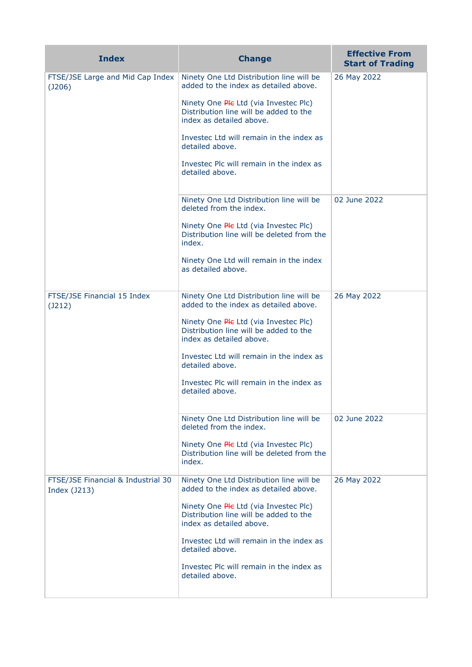| <b>Index</b>                                       | <b>Change</b>                                                                                               | <b>Effective From</b><br><b>Start of Trading</b> |
|----------------------------------------------------|-------------------------------------------------------------------------------------------------------------|--------------------------------------------------|
| FTSE/JSE Large and Mid Cap Index<br>$($ J206 $)$   | Ninety One Ltd Distribution line will be<br>added to the index as detailed above.                           | 26 May 2022                                      |
|                                                    | Ninety One Ple Ltd (via Investec Plc)<br>Distribution line will be added to the<br>index as detailed above. |                                                  |
|                                                    | Investec Ltd will remain in the index as<br>detailed above.                                                 |                                                  |
|                                                    | Investec Plc will remain in the index as<br>detailed above.                                                 |                                                  |
|                                                    | Ninety One Ltd Distribution line will be<br>deleted from the index.                                         | 02 June 2022                                     |
|                                                    | Ninety One Ple Ltd (via Investec Plc)<br>Distribution line will be deleted from the<br>index.               |                                                  |
|                                                    | Ninety One Ltd will remain in the index<br>as detailed above.                                               |                                                  |
| FTSE/JSE Financial 15 Index<br>(J212)              | Ninety One Ltd Distribution line will be<br>added to the index as detailed above.                           | 26 May 2022                                      |
|                                                    | Ninety One Ple Ltd (via Investec Plc)<br>Distribution line will be added to the<br>index as detailed above. |                                                  |
|                                                    | Investec Ltd will remain in the index as<br>detailed above.                                                 |                                                  |
|                                                    | Investec Plc will remain in the index as<br>detailed above.                                                 |                                                  |
|                                                    | Ninety One Ltd Distribution line will be<br>deleted from the index.                                         | 02 June 2022                                     |
|                                                    | Ninety One Ple Ltd (via Investec Plc)<br>Distribution line will be deleted from the<br>index.               |                                                  |
| FTSE/JSE Financial & Industrial 30<br>Index (J213) | Ninety One Ltd Distribution line will be<br>added to the index as detailed above.                           | 26 May 2022                                      |
|                                                    | Ninety One Ple Ltd (via Investec Plc)<br>Distribution line will be added to the<br>index as detailed above. |                                                  |
|                                                    | Investec Ltd will remain in the index as<br>detailed above.                                                 |                                                  |
|                                                    | Investec Plc will remain in the index as<br>detailed above.                                                 |                                                  |
|                                                    |                                                                                                             |                                                  |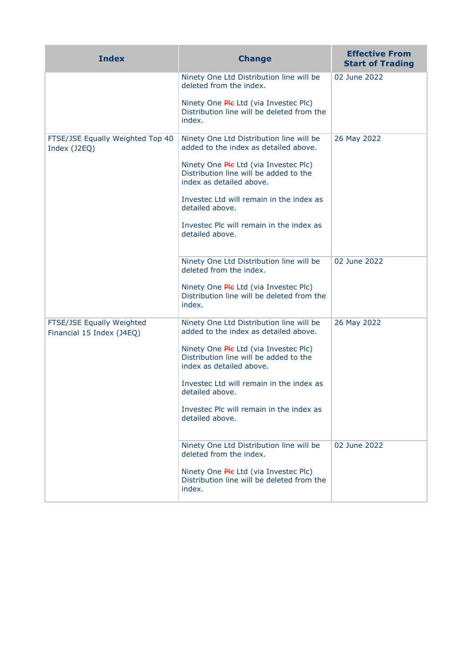| <b>Index</b>                                           | <b>Change</b>                                                                                               | <b>Effective From</b><br><b>Start of Trading</b> |
|--------------------------------------------------------|-------------------------------------------------------------------------------------------------------------|--------------------------------------------------|
|                                                        | Ninety One Ltd Distribution line will be<br>deleted from the index.                                         | 02 June 2022                                     |
|                                                        | Ninety One Ple Ltd (via Investec Plc)<br>Distribution line will be deleted from the<br>index.               |                                                  |
| FTSE/JSE Equally Weighted Top 40<br>Index (J2EQ)       | Ninety One Ltd Distribution line will be<br>added to the index as detailed above.                           | 26 May 2022                                      |
|                                                        | Ninety One Ple Ltd (via Investec Plc)<br>Distribution line will be added to the<br>index as detailed above. |                                                  |
|                                                        | Investec Ltd will remain in the index as<br>detailed above.                                                 |                                                  |
|                                                        | Investec Plc will remain in the index as<br>detailed above.                                                 |                                                  |
|                                                        | Ninety One Ltd Distribution line will be<br>deleted from the index.                                         | 02 June 2022                                     |
|                                                        | Ninety One Ple Ltd (via Investec Plc)<br>Distribution line will be deleted from the<br>index.               |                                                  |
| FTSE/JSE Equally Weighted<br>Financial 15 Index (J4EQ) | Ninety One Ltd Distribution line will be<br>added to the index as detailed above.                           | 26 May 2022                                      |
|                                                        | Ninety One Ple Ltd (via Investec Plc)<br>Distribution line will be added to the<br>index as detailed above. |                                                  |
|                                                        | Investec Ltd will remain in the index as<br>detailed above.                                                 |                                                  |
|                                                        | Investec Plc will remain in the index as<br>detailed above.                                                 |                                                  |
|                                                        | Ninety One Ltd Distribution line will be<br>deleted from the index.                                         | 02 June 2022                                     |
|                                                        | Ninety One Ple Ltd (via Investec Plc)<br>Distribution line will be deleted from the<br>index.               |                                                  |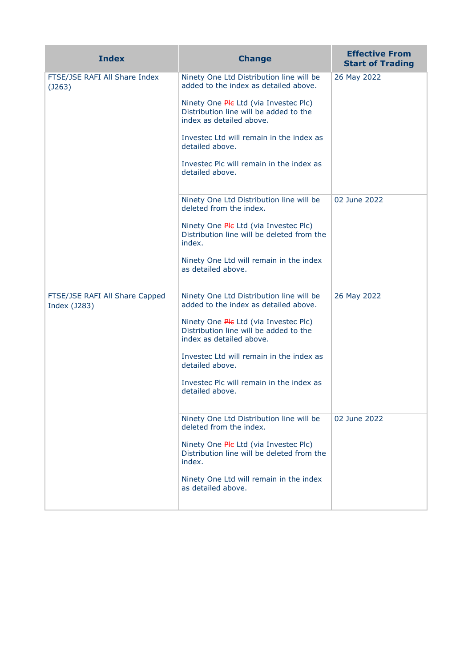| <b>Index</b>                                   | <b>Change</b>                                                                                               | <b>Effective From</b><br><b>Start of Trading</b> |
|------------------------------------------------|-------------------------------------------------------------------------------------------------------------|--------------------------------------------------|
| FTSE/JSE RAFI All Share Index<br>(J263)        | Ninety One Ltd Distribution line will be<br>added to the index as detailed above.                           | 26 May 2022                                      |
|                                                | Ninety One Ple Ltd (via Investec Plc)<br>Distribution line will be added to the<br>index as detailed above. |                                                  |
|                                                | Invested Ltd will remain in the index as<br>detailed above.                                                 |                                                  |
|                                                | Invested Plc will remain in the index as<br>detailed above.                                                 |                                                  |
|                                                | Ninety One Ltd Distribution line will be<br>deleted from the index.                                         | 02 June 2022                                     |
|                                                | Ninety One Ple Ltd (via Investec Plc)<br>Distribution line will be deleted from the<br>index.               |                                                  |
|                                                | Ninety One Ltd will remain in the index<br>as detailed above.                                               |                                                  |
| FTSE/JSE RAFI All Share Capped<br>Index (J283) | Ninety One Ltd Distribution line will be<br>added to the index as detailed above.                           | 26 May 2022                                      |
|                                                | Ninety One Ple Ltd (via Investec Plc)<br>Distribution line will be added to the<br>index as detailed above. |                                                  |
|                                                | Investec Ltd will remain in the index as<br>detailed above.                                                 |                                                  |
|                                                | Invested Plc will remain in the index as<br>detailed above.                                                 |                                                  |
|                                                | Ninety One Ltd Distribution line will be<br>deleted from the index.                                         | 02 June 2022                                     |
|                                                | Ninety One Ple Ltd (via Investec Plc)<br>Distribution line will be deleted from the<br>index.               |                                                  |
|                                                | Ninety One Ltd will remain in the index<br>as detailed above.                                               |                                                  |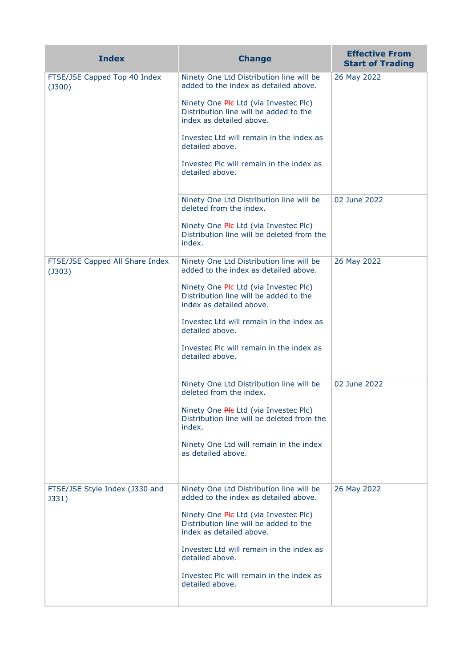| <b>Index</b>                              | <b>Change</b>                                                                                                                                                                                                                                                                                                                  | <b>Effective From</b><br><b>Start of Trading</b> |
|-------------------------------------------|--------------------------------------------------------------------------------------------------------------------------------------------------------------------------------------------------------------------------------------------------------------------------------------------------------------------------------|--------------------------------------------------|
| FTSE/JSE Capped Top 40 Index<br>(J300)    | Ninety One Ltd Distribution line will be<br>added to the index as detailed above.<br>Ninety One Ple Ltd (via Investec Plc)<br>Distribution line will be added to the<br>index as detailed above.<br>Invested Ltd will remain in the index as<br>detailed above.<br>Invested Plc will remain in the index as<br>detailed above. | 26 May 2022                                      |
|                                           | Ninety One Ltd Distribution line will be<br>deleted from the index.<br>Ninety One Ple Ltd (via Investec Plc)<br>Distribution line will be deleted from the<br>index.                                                                                                                                                           | 02 June 2022                                     |
| FTSE/JSE Capped All Share Index<br>(J303) | Ninety One Ltd Distribution line will be<br>added to the index as detailed above.<br>Ninety One Ple Ltd (via Investec Plc)<br>Distribution line will be added to the<br>index as detailed above.<br>Investec Ltd will remain in the index as<br>detailed above.<br>Investec Plc will remain in the index as<br>detailed above. | 26 May 2022                                      |
|                                           | Ninety One Ltd Distribution line will be<br>deleted from the index.<br>Ninety One Ple Ltd (via Investec Plc)<br>Distribution line will be deleted from the<br>index.<br>Ninety One Ltd will remain in the index<br>as detailed above.                                                                                          | 02 June 2022                                     |
| FTSE/JSE Style Index (J330 and<br>J331)   | Ninety One Ltd Distribution line will be<br>added to the index as detailed above.<br>Ninety One Ple Ltd (via Investec Plc)<br>Distribution line will be added to the<br>index as detailed above.<br>Investec Ltd will remain in the index as<br>detailed above.<br>Investec Plc will remain in the index as<br>detailed above. | 26 May 2022                                      |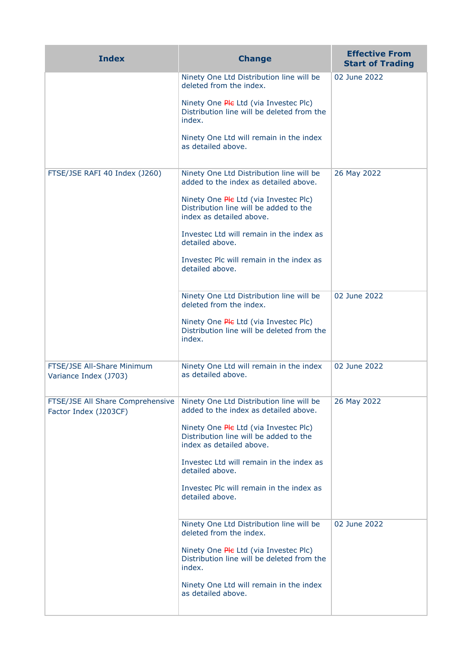| <b>Index</b>                                              | <b>Change</b>                                                                                               | <b>Effective From</b><br><b>Start of Trading</b> |
|-----------------------------------------------------------|-------------------------------------------------------------------------------------------------------------|--------------------------------------------------|
|                                                           | Ninety One Ltd Distribution line will be<br>deleted from the index.                                         | 02 June 2022                                     |
|                                                           | Ninety One Ple Ltd (via Investec Plc)<br>Distribution line will be deleted from the<br>index.               |                                                  |
|                                                           | Ninety One Ltd will remain in the index<br>as detailed above.                                               |                                                  |
| FTSE/JSE RAFI 40 Index (J260)                             | Ninety One Ltd Distribution line will be<br>added to the index as detailed above.                           | 26 May 2022                                      |
|                                                           | Ninety One Ple Ltd (via Investec Plc)<br>Distribution line will be added to the<br>index as detailed above. |                                                  |
|                                                           | Investec Ltd will remain in the index as<br>detailed above.                                                 |                                                  |
|                                                           | Investec Plc will remain in the index as<br>detailed above.                                                 |                                                  |
|                                                           | Ninety One Ltd Distribution line will be<br>deleted from the index.                                         | 02 June 2022                                     |
|                                                           | Ninety One Ple Ltd (via Investec Plc)<br>Distribution line will be deleted from the<br>index.               |                                                  |
| FTSE/JSE All-Share Minimum<br>Variance Index (J703)       | Ninety One Ltd will remain in the index<br>as detailed above.                                               | 02 June 2022                                     |
| FTSE/JSE All Share Comprehensive<br>Factor Index (J203CF) | Ninety One Ltd Distribution line will be<br>added to the index as detailed above.                           | 26 May 2022                                      |
|                                                           | Ninety One Ple Ltd (via Investec Plc)<br>Distribution line will be added to the<br>index as detailed above. |                                                  |
|                                                           | Investec Ltd will remain in the index as<br>detailed above.                                                 |                                                  |
|                                                           | Investec Plc will remain in the index as<br>detailed above.                                                 |                                                  |
|                                                           | Ninety One Ltd Distribution line will be<br>deleted from the index.                                         | 02 June 2022                                     |
|                                                           | Ninety One Ple Ltd (via Investec Plc)<br>Distribution line will be deleted from the<br>index.               |                                                  |
|                                                           | Ninety One Ltd will remain in the index<br>as detailed above.                                               |                                                  |
|                                                           |                                                                                                             |                                                  |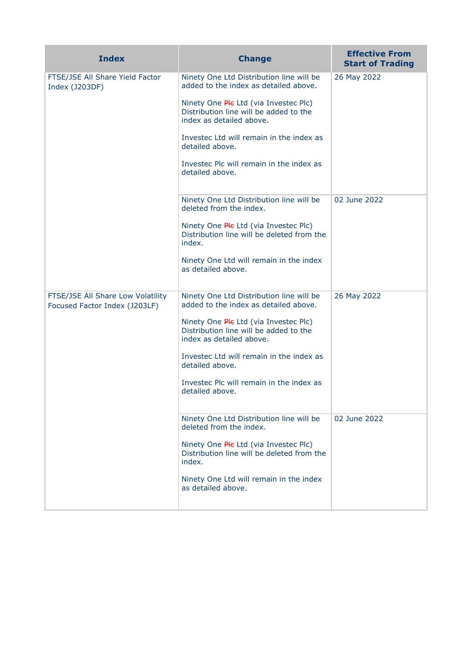| <b>Index</b>                                                       | <b>Change</b>                                                                                               | <b>Effective From</b><br><b>Start of Trading</b> |
|--------------------------------------------------------------------|-------------------------------------------------------------------------------------------------------------|--------------------------------------------------|
| FTSE/JSE All Share Yield Factor<br>Index (J203DF)                  | Ninety One Ltd Distribution line will be<br>added to the index as detailed above.                           | 26 May 2022                                      |
|                                                                    | Ninety One Ple Ltd (via Investec Plc)<br>Distribution line will be added to the<br>index as detailed above. |                                                  |
|                                                                    | Investec Ltd will remain in the index as<br>detailed above.                                                 |                                                  |
|                                                                    | Invested Plc will remain in the index as<br>detailed above.                                                 |                                                  |
|                                                                    | Ninety One Ltd Distribution line will be<br>deleted from the index.                                         | 02 June 2022                                     |
|                                                                    | Ninety One <i>Ple Ltd</i> (via Investec Plc)<br>Distribution line will be deleted from the<br>index.        |                                                  |
|                                                                    | Ninety One Ltd will remain in the index<br>as detailed above.                                               |                                                  |
| FTSE/JSE All Share Low Volatility<br>Focused Factor Index (J203LF) | Ninety One Ltd Distribution line will be<br>added to the index as detailed above.                           | 26 May 2022                                      |
|                                                                    | Ninety One Ple Ltd (via Investec Plc)<br>Distribution line will be added to the<br>index as detailed above. |                                                  |
|                                                                    | Investec Ltd will remain in the index as<br>detailed above.                                                 |                                                  |
|                                                                    | Invested Plc will remain in the index as<br>detailed above.                                                 |                                                  |
|                                                                    | Ninety One Ltd Distribution line will be<br>deleted from the index.                                         | 02 June 2022                                     |
|                                                                    | Ninety One Ple Ltd (via Investec Plc)<br>Distribution line will be deleted from the<br>index.               |                                                  |
|                                                                    | Ninety One Ltd will remain in the index<br>as detailed above.                                               |                                                  |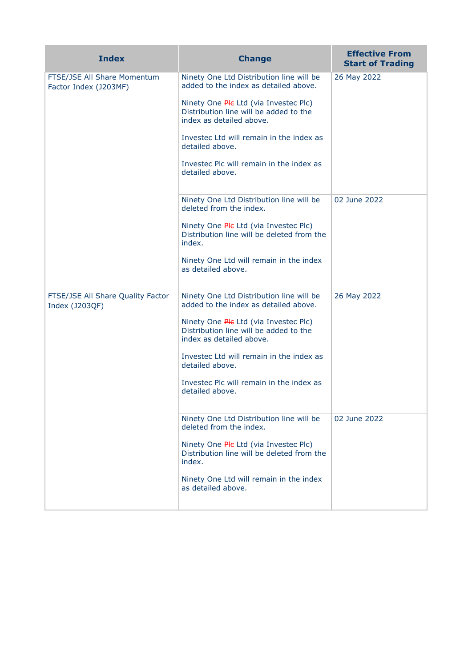| <b>Index</b>                                         | <b>Change</b>                                                                                               | <b>Effective From</b><br><b>Start of Trading</b> |
|------------------------------------------------------|-------------------------------------------------------------------------------------------------------------|--------------------------------------------------|
| FTSE/JSE All Share Momentum<br>Factor Index (J203MF) | Ninety One Ltd Distribution line will be<br>added to the index as detailed above.                           | 26 May 2022                                      |
|                                                      | Ninety One Ple Ltd (via Investec Plc)<br>Distribution line will be added to the<br>index as detailed above. |                                                  |
|                                                      | Investec Ltd will remain in the index as<br>detailed above.                                                 |                                                  |
|                                                      | Invested Plc will remain in the index as<br>detailed above.                                                 |                                                  |
|                                                      | Ninety One Ltd Distribution line will be<br>deleted from the index.                                         | 02 June 2022                                     |
|                                                      | Ninety One <i>Ple Ltd</i> (via Investec Plc)<br>Distribution line will be deleted from the<br>index.        |                                                  |
|                                                      | Ninety One Ltd will remain in the index<br>as detailed above.                                               |                                                  |
| FTSE/JSE All Share Quality Factor<br>Index (J203QF)  | Ninety One Ltd Distribution line will be<br>added to the index as detailed above.                           | 26 May 2022                                      |
|                                                      | Ninety One Ple Ltd (via Investec Plc)<br>Distribution line will be added to the<br>index as detailed above. |                                                  |
|                                                      | Invested Ltd will remain in the index as<br>detailed above.                                                 |                                                  |
|                                                      | Investec Plc will remain in the index as<br>detailed above.                                                 |                                                  |
|                                                      | Ninety One Ltd Distribution line will be<br>deleted from the index.                                         | 02 June 2022                                     |
|                                                      | Ninety One Ple Ltd (via Invested Plc)<br>Distribution line will be deleted from the<br>index.               |                                                  |
|                                                      | Ninety One Ltd will remain in the index<br>as detailed above.                                               |                                                  |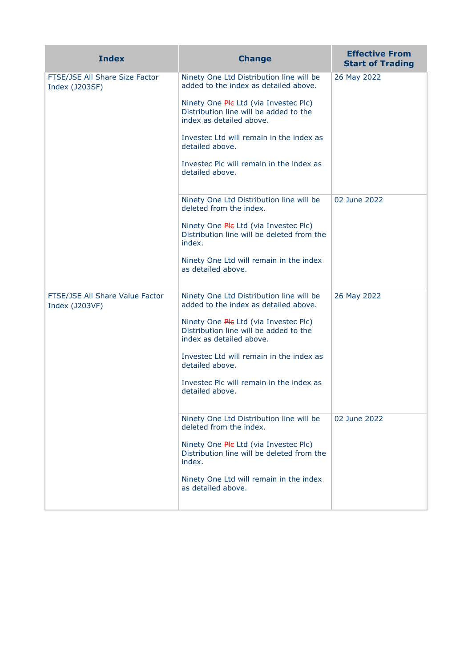| <b>Index</b>                                      | <b>Change</b>                                                                                               | <b>Effective From</b><br><b>Start of Trading</b> |
|---------------------------------------------------|-------------------------------------------------------------------------------------------------------------|--------------------------------------------------|
| FTSE/JSE All Share Size Factor<br>Index (J203SF)  | Ninety One Ltd Distribution line will be<br>added to the index as detailed above.                           | 26 May 2022                                      |
|                                                   | Ninety One Ple Ltd (via Investec Plc)<br>Distribution line will be added to the<br>index as detailed above. |                                                  |
|                                                   | Investec Ltd will remain in the index as<br>detailed above.                                                 |                                                  |
|                                                   | Investec Plc will remain in the index as<br>detailed above.                                                 |                                                  |
|                                                   | Ninety One Ltd Distribution line will be<br>deleted from the index.                                         | 02 June 2022                                     |
|                                                   | Ninety One Ple Ltd (via Investec Plc)<br>Distribution line will be deleted from the<br>index.               |                                                  |
|                                                   | Ninety One Ltd will remain in the index<br>as detailed above.                                               |                                                  |
| FTSE/JSE All Share Value Factor<br>Index (J203VF) | Ninety One Ltd Distribution line will be<br>added to the index as detailed above.                           | 26 May 2022                                      |
|                                                   | Ninety One Ple Ltd (via Investec Plc)<br>Distribution line will be added to the<br>index as detailed above. |                                                  |
|                                                   | Investec Ltd will remain in the index as<br>detailed above.                                                 |                                                  |
|                                                   | Investec Plc will remain in the index as<br>detailed above.                                                 |                                                  |
|                                                   | Ninety One Ltd Distribution line will be<br>deleted from the index.                                         | 02 June 2022                                     |
|                                                   | Ninety One Ple Ltd (via Investec Plc)<br>Distribution line will be deleted from the<br>index.               |                                                  |
|                                                   | Ninety One Ltd will remain in the index<br>as detailed above.                                               |                                                  |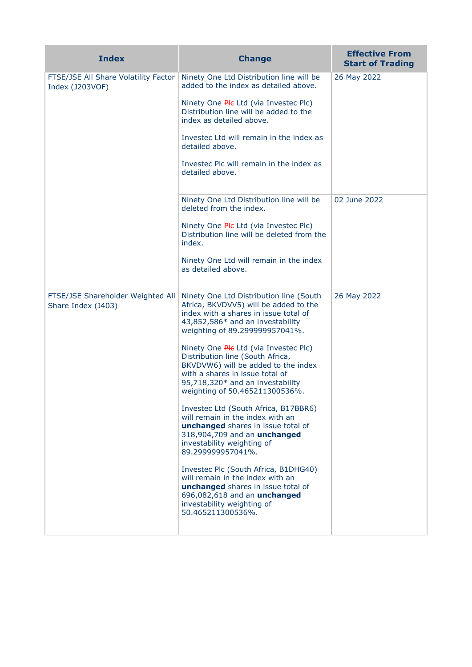| <b>Index</b>                                            | <b>Change</b>                                                                                                                                                                                                                    | <b>Effective From</b><br><b>Start of Trading</b> |
|---------------------------------------------------------|----------------------------------------------------------------------------------------------------------------------------------------------------------------------------------------------------------------------------------|--------------------------------------------------|
| FTSE/JSE All Share Volatility Factor<br>Index (J203VOF) | Ninety One Ltd Distribution line will be<br>added to the index as detailed above.                                                                                                                                                | 26 May 2022                                      |
|                                                         | Ninety One Ple Ltd (via Investec Plc)<br>Distribution line will be added to the<br>index as detailed above.                                                                                                                      |                                                  |
|                                                         | Investec Ltd will remain in the index as<br>detailed above.                                                                                                                                                                      |                                                  |
|                                                         | Investec Plc will remain in the index as<br>detailed above.                                                                                                                                                                      |                                                  |
|                                                         | Ninety One Ltd Distribution line will be<br>deleted from the index.                                                                                                                                                              | 02 June 2022                                     |
|                                                         | Ninety One Ple Ltd (via Investec Plc)<br>Distribution line will be deleted from the<br>index.                                                                                                                                    |                                                  |
|                                                         | Ninety One Ltd will remain in the index<br>as detailed above.                                                                                                                                                                    |                                                  |
| FTSE/JSE Shareholder Weighted All<br>Share Index (J403) | Ninety One Ltd Distribution line (South<br>Africa, BKVDVV5) will be added to the<br>index with a shares in issue total of<br>43,852,586* and an investability<br>weighting of 89.299999957041%.                                  | 26 May 2022                                      |
|                                                         | Ninety One <i>Ple</i> Ltd (via Investec Plc)<br>Distribution line (South Africa,<br>BKVDVW6) will be added to the index<br>with a shares in issue total of<br>95,718,320* and an investability<br>weighting of 50.465211300536%. |                                                  |
|                                                         | Investec Ltd (South Africa, B17BBR6)<br>will remain in the index with an<br><b>unchanged</b> shares in issue total of<br>318,904,709 and an unchanged<br>investability weighting of<br>89.299999957041%.                         |                                                  |
|                                                         | Investec Plc (South Africa, B1DHG40)<br>will remain in the index with an<br>unchanged shares in issue total of<br>696,082,618 and an unchanged<br>investability weighting of<br>50.465211300536%.                                |                                                  |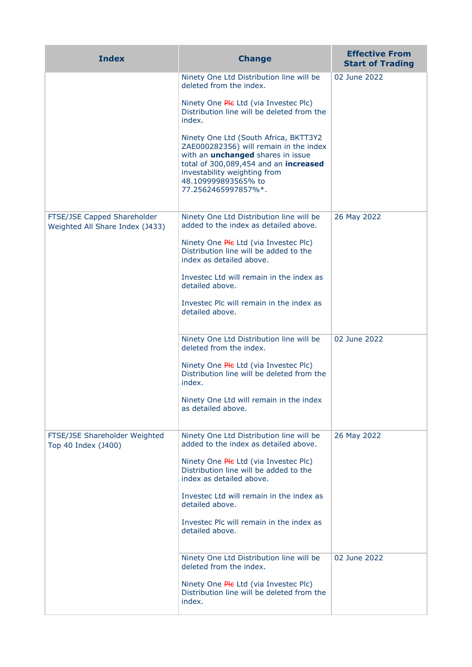| <b>Index</b>                                                   | <b>Change</b>                                                                                                                                                                                                                                      | <b>Effective From</b><br><b>Start of Trading</b> |
|----------------------------------------------------------------|----------------------------------------------------------------------------------------------------------------------------------------------------------------------------------------------------------------------------------------------------|--------------------------------------------------|
|                                                                | Ninety One Ltd Distribution line will be<br>deleted from the index.                                                                                                                                                                                | 02 June 2022                                     |
|                                                                | Ninety One Ple Ltd (via Investec Plc)<br>Distribution line will be deleted from the<br>index.                                                                                                                                                      |                                                  |
|                                                                | Ninety One Ltd (South Africa, BKTT3Y2<br>ZAE000282356) will remain in the index<br>with an <i>unchanged</i> shares in issue<br>total of 300,089,454 and an increased<br>investability weighting from<br>48.109999893565% to<br>77.2562465997857%*. |                                                  |
| FTSE/JSE Capped Shareholder<br>Weighted All Share Index (J433) | Ninety One Ltd Distribution line will be<br>added to the index as detailed above.                                                                                                                                                                  | 26 May 2022                                      |
|                                                                | Ninety One Ple Ltd (via Investec Plc)<br>Distribution line will be added to the<br>index as detailed above.                                                                                                                                        |                                                  |
|                                                                | Investec Ltd will remain in the index as<br>detailed above.                                                                                                                                                                                        |                                                  |
|                                                                | Investec Plc will remain in the index as<br>detailed above.                                                                                                                                                                                        |                                                  |
|                                                                | Ninety One Ltd Distribution line will be<br>deleted from the index.                                                                                                                                                                                | 02 June 2022                                     |
|                                                                | Ninety One Ple Ltd (via Investec Plc)<br>Distribution line will be deleted from the<br>index.                                                                                                                                                      |                                                  |
|                                                                | Ninety One Ltd will remain in the index<br>as detailed above.                                                                                                                                                                                      |                                                  |
| FTSE/JSE Shareholder Weighted<br>Top 40 Index (J400)           | Ninety One Ltd Distribution line will be<br>added to the index as detailed above.                                                                                                                                                                  | 26 May 2022                                      |
|                                                                | Ninety One <i>Ple</i> Ltd (via Investec Plc)<br>Distribution line will be added to the<br>index as detailed above.                                                                                                                                 |                                                  |
|                                                                | Investec Ltd will remain in the index as<br>detailed above.                                                                                                                                                                                        |                                                  |
|                                                                | Investec Plc will remain in the index as<br>detailed above.                                                                                                                                                                                        |                                                  |
|                                                                | Ninety One Ltd Distribution line will be<br>deleted from the index.                                                                                                                                                                                | 02 June 2022                                     |
|                                                                | Ninety One Ple Ltd (via Investec Plc)<br>Distribution line will be deleted from the<br>index.                                                                                                                                                      |                                                  |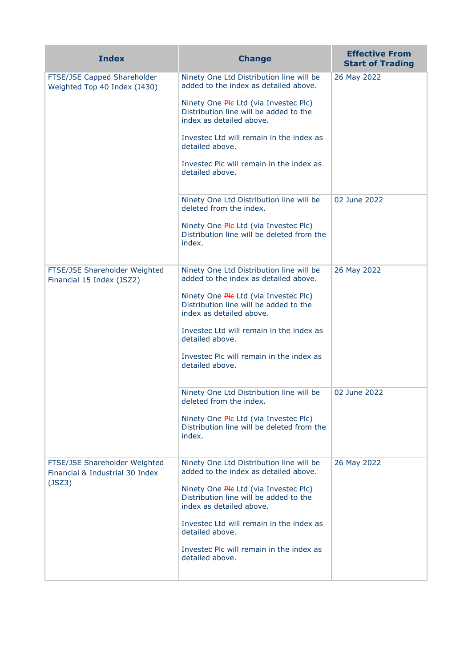| <b>Index</b>                                                                                                              | <b>Change</b>                                                                                                                                                                                                                                                                                                                  | <b>Effective From</b><br><b>Start of Trading</b> |
|---------------------------------------------------------------------------------------------------------------------------|--------------------------------------------------------------------------------------------------------------------------------------------------------------------------------------------------------------------------------------------------------------------------------------------------------------------------------|--------------------------------------------------|
| FTSE/JSE Capped Shareholder<br>Weighted Top 40 Index (J430)<br>FTSE/JSE Shareholder Weighted<br>Financial 15 Index (JSZ2) | Ninety One Ltd Distribution line will be<br>added to the index as detailed above.<br>Ninety One Ple Ltd (via Investec Plc)<br>Distribution line will be added to the<br>index as detailed above.<br>Investec Ltd will remain in the index as<br>detailed above.<br>Investec Plc will remain in the index as<br>detailed above. | 26 May 2022                                      |
|                                                                                                                           | Ninety One Ltd Distribution line will be<br>deleted from the index.<br>Ninety One Ple Ltd (via Investec Plc)<br>Distribution line will be deleted from the<br>index.                                                                                                                                                           | 02 June 2022                                     |
|                                                                                                                           | Ninety One Ltd Distribution line will be<br>added to the index as detailed above.<br>Ninety One Ple Ltd (via Investec Plc)<br>Distribution line will be added to the<br>index as detailed above.<br>Investec Ltd will remain in the index as<br>detailed above.<br>Investec Plc will remain in the index as<br>detailed above. | 26 May 2022                                      |
|                                                                                                                           | Ninety One Ltd Distribution line will be<br>deleted from the index.<br>Ninety One Ple Ltd (via Investec Plc)<br>Distribution line will be deleted from the<br>index.                                                                                                                                                           | 02 June 2022                                     |
| FTSE/JSE Shareholder Weighted<br>Financial & Industrial 30 Index<br>(JSZ3)                                                | Ninety One Ltd Distribution line will be<br>added to the index as detailed above.<br>Ninety One Ple Ltd (via Investec Plc)<br>Distribution line will be added to the<br>index as detailed above.<br>Investec Ltd will remain in the index as<br>detailed above.<br>Investec Plc will remain in the index as<br>detailed above. | 26 May 2022                                      |